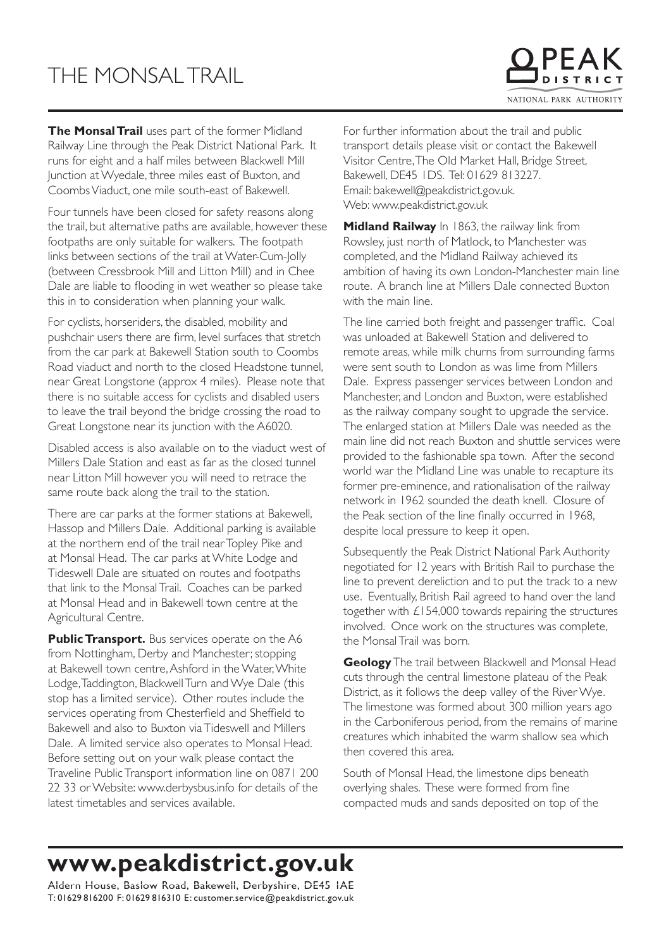## THE MONSAL TRAIL

**The Monsal Trail** uses part of the former Midland Railway Line through the Peak District National Park. It runs for eight and a half miles between Blackwell Mill Junction at Wyedale, three miles east of Buxton, and Coombs Viaduct, one mile south-east of Bakewell.

Four tunnels have been closed for safety reasons along the trail, but alternative paths are available, however these footpaths are only suitable for walkers. The footpath links between sections of the trail at Water-Cum-Jolly (between Cressbrook Mill and Litton Mill) and in Chee Dale are liable to flooding in wet weather so please take this in to consideration when planning your walk.

For cyclists, horseriders, the disabled, mobility and pushchair users there are firm, level surfaces that stretch from the car park at Bakewell Station south to Coombs Road viaduct and north to the closed Headstone tunnel, near Great Longstone (approx 4 miles). Please note that there is no suitable access for cyclists and disabled users to leave the trail beyond the bridge crossing the road to Great Longstone near its junction with the A6020.

Disabled access is also available on to the viaduct west of Millers Dale Station and east as far as the closed tunnel near Litton Mill however you will need to retrace the same route back along the trail to the station.

There are car parks at the former stations at Bakewell, Hassop and Millers Dale. Additional parking is available at the northern end of the trail near Topley Pike and at Monsal Head. The car parks at White Lodge and Tideswell Dale are situated on routes and footpaths that link to the Monsal Trail. Coaches can be parked at Monsal Head and in Bakewell town centre at the Agricultural Centre.

**Public Transport.** Bus services operate on the A6 from Nottingham, Derby and Manchester; stopping at Bakewell town centre, Ashford in the Water, White Lodge, Taddington, Blackwell Turn and Wye Dale (this stop has a limited service). Other routes include the services operating from Chesterfield and Sheffield to Bakewell and also to Buxton via Tideswell and Millers Dale. A limited service also operates to Monsal Head. Before setting out on your walk please contact the Traveline Public Transport information line on 0871 200 22 33 or Website: www.derbysbus.info for details of the latest timetables and services available.

For further information about the trail and public transport details please visit or contact the Bakewell Visitor Centre, The Old Market Hall, Bridge Street, Bakewell, DE45 1DS. Tel: 01629 813227. Email: bakewell@peakdistrict.gov.uk. Web: www.peakdistrict.gov.uk

**Midland Railway** In 1863, the railway link from Rowsley, just north of Matlock, to Manchester was completed, and the Midland Railway achieved its ambition of having its own London-Manchester main line route. A branch line at Millers Dale connected Buxton with the main line.

The line carried both freight and passenger traffic. Coal was unloaded at Bakewell Station and delivered to remote areas, while milk churns from surrounding farms were sent south to London as was lime from Millers Dale. Express passenger services between London and Manchester, and London and Buxton, were established as the railway company sought to upgrade the service. The enlarged station at Millers Dale was needed as the main line did not reach Buxton and shuttle services were provided to the fashionable spa town. After the second world war the Midland Line was unable to recapture its former pre-eminence, and rationalisation of the railway network in 1962 sounded the death knell. Closure of the Peak section of the line finally occurred in 1968. despite local pressure to keep it open.

Subsequently the Peak District National Park Authority negotiated for 12 years with British Rail to purchase the line to prevent dereliction and to put the track to a new use. Eventually, British Rail agreed to hand over the land together with £154,000 towards repairing the structures involved. Once work on the structures was complete, the Monsal Trail was born.

**Geology** The trail between Blackwell and Monsal Head cuts through the central limestone plateau of the Peak District, as it follows the deep valley of the River Wye. The limestone was formed about 300 million years ago in the Carboniferous period, from the remains of marine creatures which inhabited the warm shallow sea which then covered this area.

South of Monsal Head, the limestone dips beneath overlying shales. These were formed from fine compacted muds and sands deposited on top of the

## **www.peakdistrict.gov.uk**

Aldern House, Baslow Road, Bakewell, Derbyshire, DE45 1AE T: 01629 816200 F: 01629 816310 E: customer.service@peakdistrict.gov.uk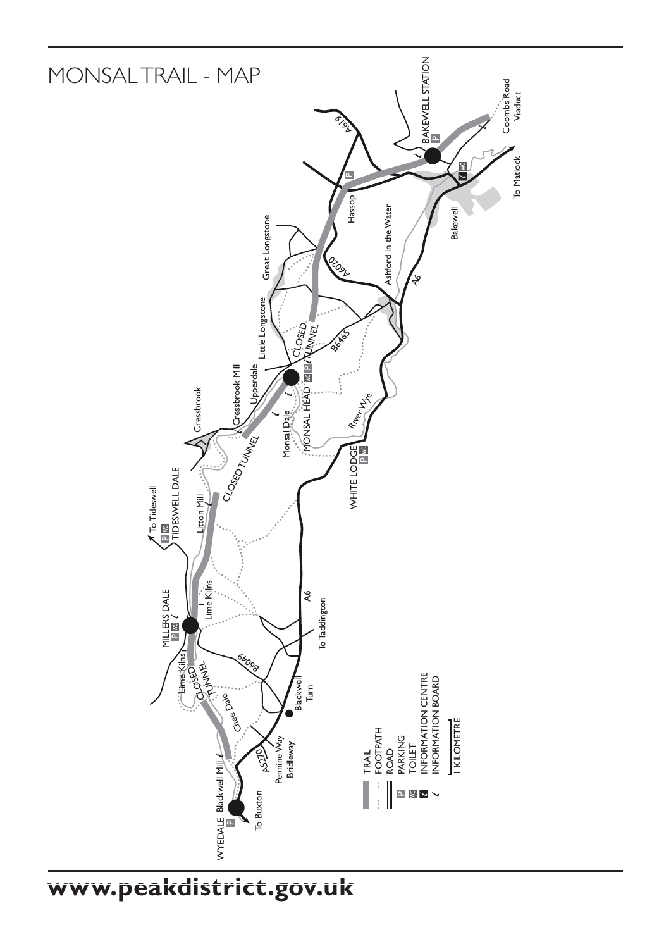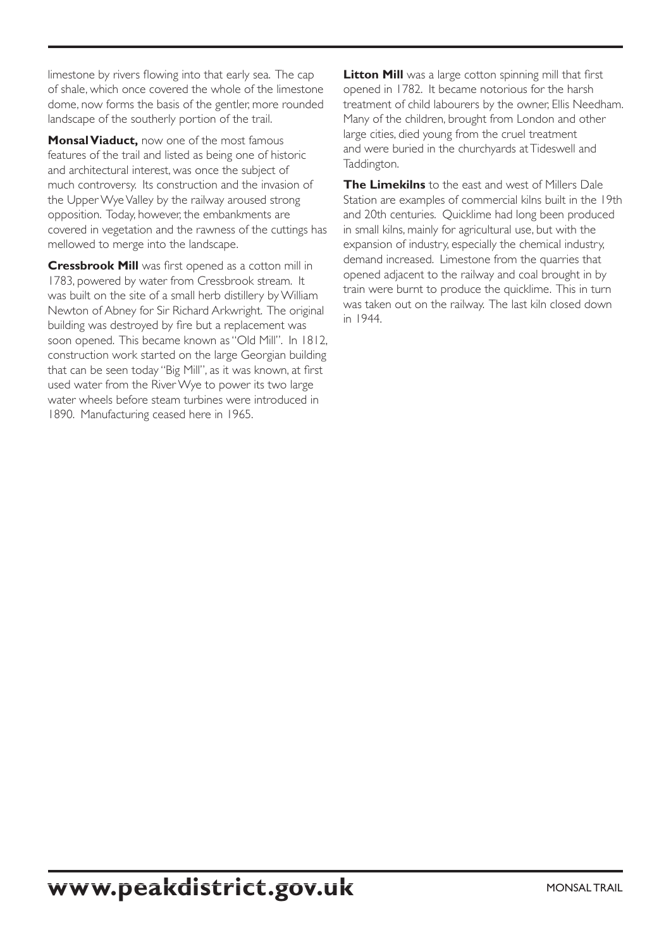limestone by rivers flowing into that early sea. The cap of shale, which once covered the whole of the limestone dome, now forms the basis of the gentler, more rounded landscape of the southerly portion of the trail.

**Monsal Viaduct,** now one of the most famous features of the trail and listed as being one of historic and architectural interest, was once the subject of much controversy. Its construction and the invasion of the Upper Wye Valley by the railway aroused strong opposition. Today, however, the embankments are covered in vegetation and the rawness of the cuttings has mellowed to merge into the landscape.

**Cressbrook Mill** was first opened as a cotton mill in 1783, powered by water from Cressbrook stream. It was built on the site of a small herb distillery by William Newton of Abney for Sir Richard Arkwright. The original building was destroyed by fire but a replacement was soon opened. This became known as "Old Mill". In 1812, construction work started on the large Georgian building that can be seen today "Big Mill", as it was known, at first used water from the River Wye to power its two large water wheels before steam turbines were introduced in 1890. Manufacturing ceased here in 1965.

Litton Mill was a large cotton spinning mill that first opened in 1782. It became notorious for the harsh treatment of child labourers by the owner, Ellis Needham. Many of the children, brought from London and other large cities, died young from the cruel treatment and were buried in the churchyards at Tideswell and Taddington.

**The Limekilns** to the east and west of Millers Dale Station are examples of commercial kilns built in the 19th and 20th centuries. Quicklime had long been produced in small kilns, mainly for agricultural use, but with the expansion of industry, especially the chemical industry, demand increased. Limestone from the quarries that opened adjacent to the railway and coal brought in by train were burnt to produce the quicklime. This in turn was taken out on the railway. The last kiln closed down in 1944.